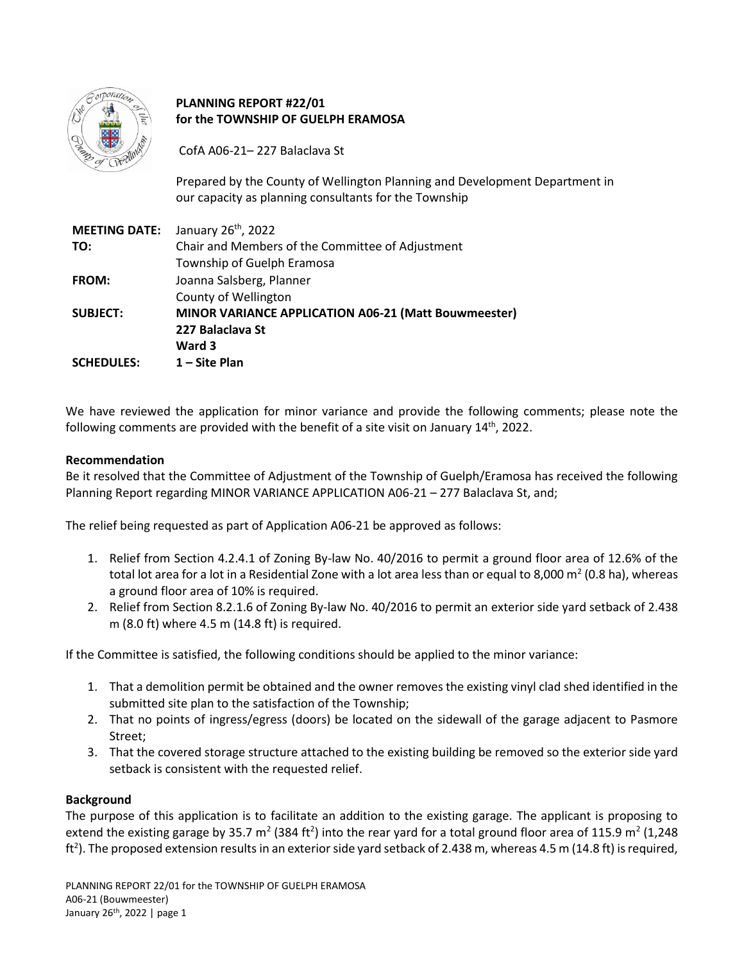|          | oration |                |
|----------|---------|----------------|
|          |         |                |
| - Corpor |         | <b>VIIMAGE</b> |
|          |         |                |

# **PLANNING REPORT #22/01 for the TOWNSHIP OF GUELPH ERAMOSA**

CofA A06-21– 227 Balaclava St

Prepared by the County of Wellington Planning and Development Department in our capacity as planning consultants for the Township

| January 26 <sup>th</sup> , 2022                      |
|------------------------------------------------------|
| Chair and Members of the Committee of Adjustment     |
| Township of Guelph Eramosa                           |
| Joanna Salsberg, Planner                             |
| County of Wellington                                 |
| MINOR VARIANCE APPLICATION A06-21 (Matt Bouwmeester) |
| 227 Balaclava St                                     |
| Ward 3                                               |
| 1 – Site Plan                                        |
|                                                      |

We have reviewed the application for minor variance and provide the following comments; please note the following comments are provided with the benefit of a site visit on January 14<sup>th</sup>, 2022.

## **Recommendation**

Be it resolved that the Committee of Adjustment of the Township of Guelph/Eramosa has received the following Planning Report regarding MINOR VARIANCE APPLICATION A06-21 – 277 Balaclava St, and;

The relief being requested as part of Application A06-21 be approved as follows:

- 1. Relief from Section 4.2.4.1 of Zoning By-law No. 40/2016 to permit a ground floor area of 12.6% of the total lot area for a lot in a Residential Zone with a lot area less than or equal to 8,000 m<sup>2</sup> (0.8 ha), whereas a ground floor area of 10% is required.
- 2. Relief from Section 8.2.1.6 of Zoning By-law No. 40/2016 to permit an exterior side yard setback of 2.438 m (8.0 ft) where 4.5 m (14.8 ft) is required.

If the Committee is satisfied, the following conditions should be applied to the minor variance:

- 1. That a demolition permit be obtained and the owner removes the existing vinyl clad shed identified in the submitted site plan to the satisfaction of the Township;
- 2. That no points of ingress/egress (doors) be located on the sidewall of the garage adjacent to Pasmore Street;
- 3. That the covered storage structure attached to the existing building be removed so the exterior side yard setback is consistent with the requested relief.

## **Background**

The purpose of this application is to facilitate an addition to the existing garage. The applicant is proposing to extend the existing garage by 35.7 m<sup>2</sup> (384 ft<sup>2</sup>) into the rear yard for a total ground floor area of 115.9 m<sup>2</sup> (1,248 ft<sup>2</sup>). The proposed extension results in an exterior side yard setback of 2.438 m, whereas 4.5 m (14.8 ft) is required,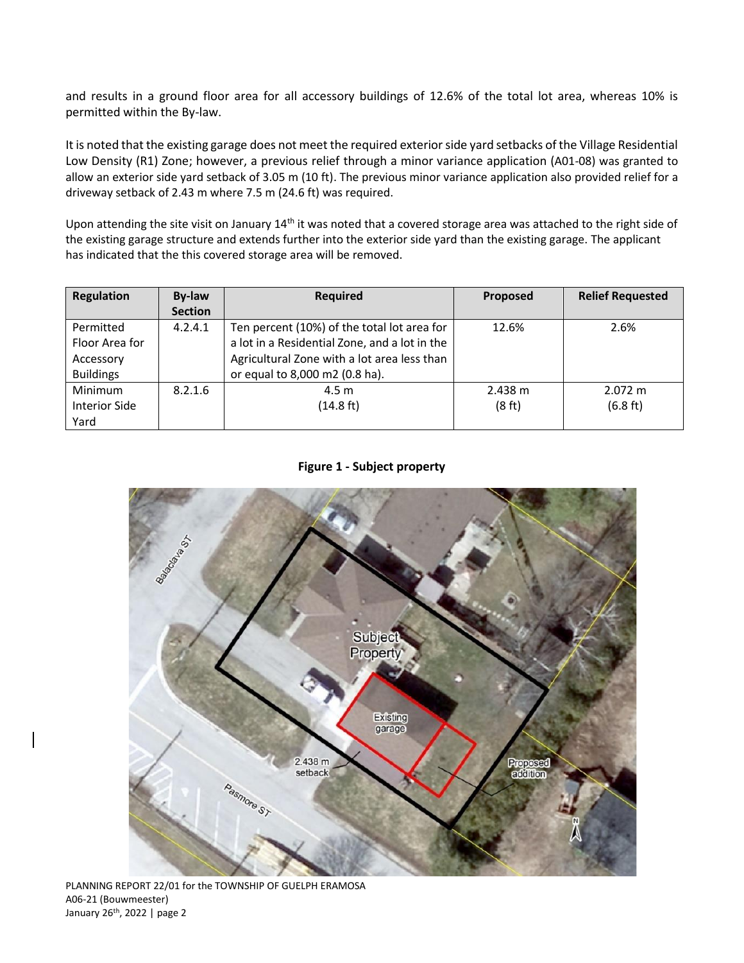and results in a ground floor area for all accessory buildings of 12.6% of the total lot area, whereas 10% is permitted within the By-law.

It is noted that the existing garage does not meet the required exterior side yard setbacks of the Village Residential Low Density (R1) Zone; however, a previous relief through a minor variance application (A01-08) was granted to allow an exterior side yard setback of 3.05 m (10 ft). The previous minor variance application also provided relief for a driveway setback of 2.43 m where 7.5 m (24.6 ft) was required.

Upon attending the site visit on January 14<sup>th</sup> it was noted that a covered storage area was attached to the right side of the existing garage structure and extends further into the exterior side yard than the existing garage. The applicant has indicated that the this covered storage area will be removed.

| <b>Regulation</b>    | By-law         | <b>Required</b>                               | Proposed | <b>Relief Requested</b> |
|----------------------|----------------|-----------------------------------------------|----------|-------------------------|
|                      | <b>Section</b> |                                               |          |                         |
| Permitted            | 4.2.4.1        | Ten percent (10%) of the total lot area for   | 12.6%    | 2.6%                    |
| Floor Area for       |                | a lot in a Residential Zone, and a lot in the |          |                         |
| Accessory            |                | Agricultural Zone with a lot area less than   |          |                         |
| <b>Buildings</b>     |                | or equal to 8,000 m2 (0.8 ha).                |          |                         |
| Minimum              | 8.2.1.6        | 4.5 <sub>m</sub>                              | 2.438 m  | $2.072 \text{ m}$       |
| <b>Interior Side</b> |                | (14.8 ft)                                     | (8 ft)   | $(6.8 \text{ ft})$      |
| Yard                 |                |                                               |          |                         |

## **Figure 1 - Subject property**

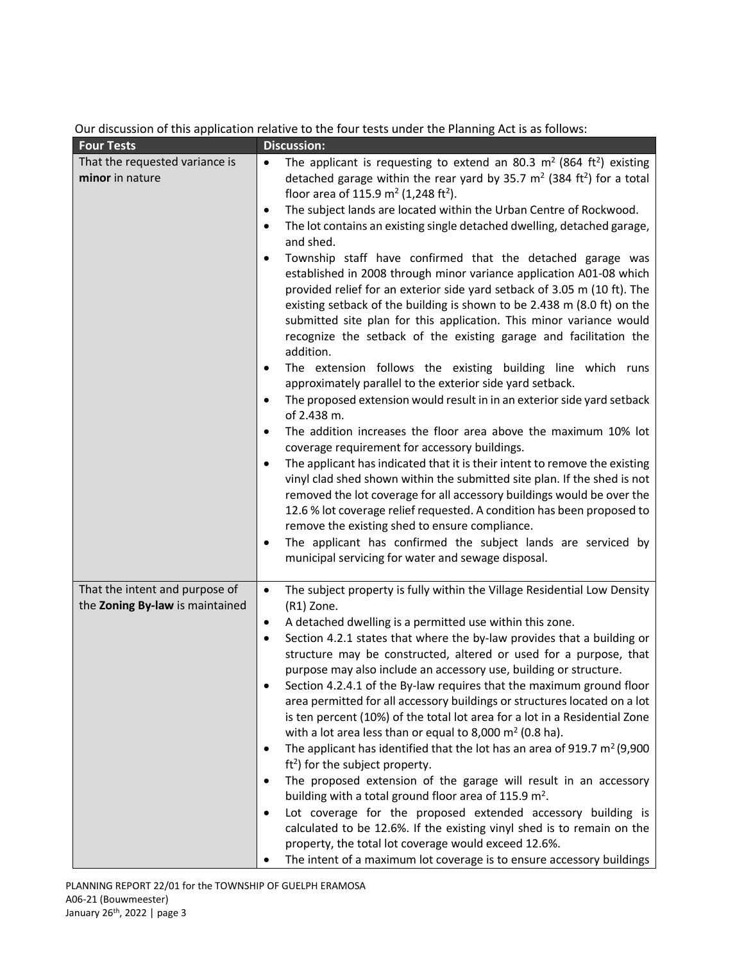| <b>Four Tests</b>                                                 | <b>Discussion:</b>                                                                                                                                                                                                                                                                                                                                                                                                                                                                                                                                                                                                                                                                                                                                                                                                                                                                                                                                                                                                                                                                                                                                                                                                                                                                                                                                                                                                                                                                                                                                                                                                                                                                                                                                                  |
|-------------------------------------------------------------------|---------------------------------------------------------------------------------------------------------------------------------------------------------------------------------------------------------------------------------------------------------------------------------------------------------------------------------------------------------------------------------------------------------------------------------------------------------------------------------------------------------------------------------------------------------------------------------------------------------------------------------------------------------------------------------------------------------------------------------------------------------------------------------------------------------------------------------------------------------------------------------------------------------------------------------------------------------------------------------------------------------------------------------------------------------------------------------------------------------------------------------------------------------------------------------------------------------------------------------------------------------------------------------------------------------------------------------------------------------------------------------------------------------------------------------------------------------------------------------------------------------------------------------------------------------------------------------------------------------------------------------------------------------------------------------------------------------------------------------------------------------------------|
| That the requested variance is<br>minor in nature                 | The applicant is requesting to extend an 80.3 $m^2$ (864 ft <sup>2</sup> ) existing<br>$\bullet$<br>detached garage within the rear yard by 35.7 $m2$ (384 ft <sup>2</sup> ) for a total<br>floor area of 115.9 $m^2$ (1,248 ft <sup>2</sup> ).<br>The subject lands are located within the Urban Centre of Rockwood.<br>$\bullet$<br>The lot contains an existing single detached dwelling, detached garage,<br>٠<br>and shed.<br>Township staff have confirmed that the detached garage was<br>٠<br>established in 2008 through minor variance application A01-08 which<br>provided relief for an exterior side yard setback of 3.05 m (10 ft). The<br>existing setback of the building is shown to be 2.438 m (8.0 ft) on the<br>submitted site plan for this application. This minor variance would<br>recognize the setback of the existing garage and facilitation the<br>addition.<br>The extension follows the existing building line which runs<br>٠<br>approximately parallel to the exterior side yard setback.<br>The proposed extension would result in in an exterior side yard setback<br>$\bullet$<br>of 2.438 m.<br>The addition increases the floor area above the maximum 10% lot<br>٠<br>coverage requirement for accessory buildings.<br>The applicant has indicated that it is their intent to remove the existing<br>٠<br>vinyl clad shed shown within the submitted site plan. If the shed is not<br>removed the lot coverage for all accessory buildings would be over the<br>12.6 % lot coverage relief requested. A condition has been proposed to<br>remove the existing shed to ensure compliance.<br>The applicant has confirmed the subject lands are serviced by<br>$\bullet$<br>municipal servicing for water and sewage disposal. |
| That the intent and purpose of<br>the Zoning By-law is maintained | The subject property is fully within the Village Residential Low Density<br>$\bullet$<br>(R1) Zone.<br>A detached dwelling is a permitted use within this zone.<br>٠<br>Section 4.2.1 states that where the by-law provides that a building or<br>٠<br>structure may be constructed, altered or used for a purpose, that<br>purpose may also include an accessory use, building or structure.<br>Section 4.2.4.1 of the By-law requires that the maximum ground floor<br>area permitted for all accessory buildings or structures located on a lot<br>is ten percent (10%) of the total lot area for a lot in a Residential Zone<br>with a lot area less than or equal to 8,000 $m2$ (0.8 ha).<br>The applicant has identified that the lot has an area of 919.7 $m^2$ (9,900<br>٠<br>$ft2$ ) for the subject property.<br>The proposed extension of the garage will result in an accessory<br>٠<br>building with a total ground floor area of 115.9 m <sup>2</sup> .<br>Lot coverage for the proposed extended accessory building is<br>calculated to be 12.6%. If the existing vinyl shed is to remain on the<br>property, the total lot coverage would exceed 12.6%.<br>The intent of a maximum lot coverage is to ensure accessory buildings                                                                                                                                                                                                                                                                                                                                                                                                                                                                                                                    |

# Our discussion of this application relative to the four tests under the Planning Act is as follows: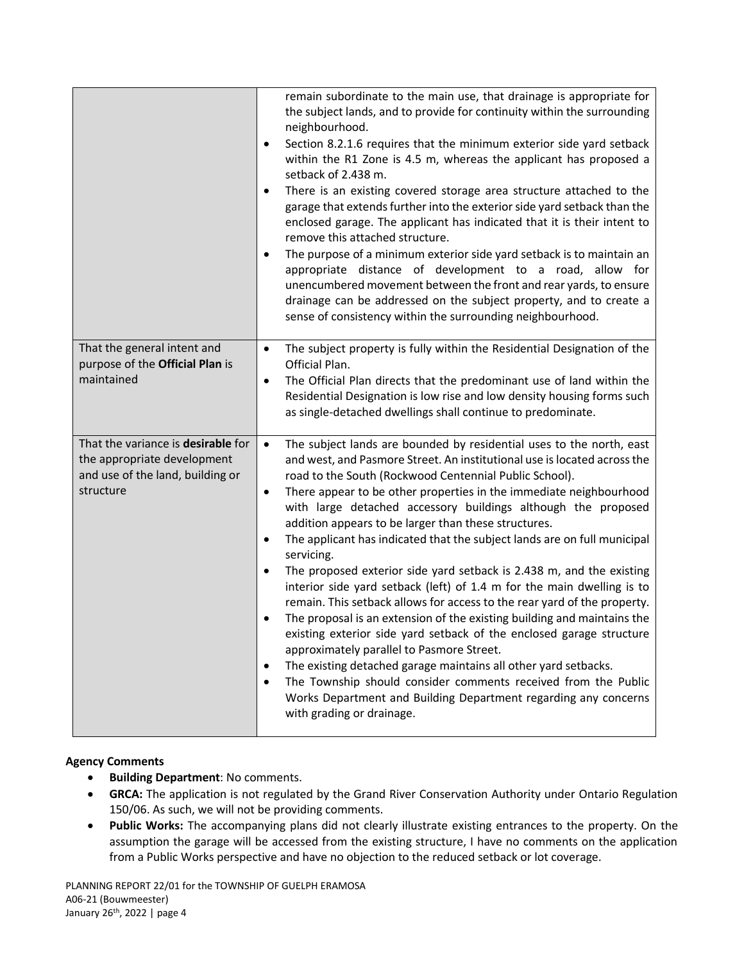|                                                                                                                    | remain subordinate to the main use, that drainage is appropriate for<br>the subject lands, and to provide for continuity within the surrounding<br>neighbourhood.<br>Section 8.2.1.6 requires that the minimum exterior side yard setback<br>within the R1 Zone is 4.5 m, whereas the applicant has proposed a<br>setback of 2.438 m.<br>There is an existing covered storage area structure attached to the<br>garage that extends further into the exterior side yard setback than the<br>enclosed garage. The applicant has indicated that it is their intent to<br>remove this attached structure.<br>The purpose of a minimum exterior side yard setback is to maintain an<br>$\bullet$<br>appropriate distance of development to a road, allow for<br>unencumbered movement between the front and rear yards, to ensure<br>drainage can be addressed on the subject property, and to create a<br>sense of consistency within the surrounding neighbourhood.                                                                                                                                                                                                                                                               |
|--------------------------------------------------------------------------------------------------------------------|---------------------------------------------------------------------------------------------------------------------------------------------------------------------------------------------------------------------------------------------------------------------------------------------------------------------------------------------------------------------------------------------------------------------------------------------------------------------------------------------------------------------------------------------------------------------------------------------------------------------------------------------------------------------------------------------------------------------------------------------------------------------------------------------------------------------------------------------------------------------------------------------------------------------------------------------------------------------------------------------------------------------------------------------------------------------------------------------------------------------------------------------------------------------------------------------------------------------------------|
| That the general intent and<br>purpose of the Official Plan is<br>maintained                                       | The subject property is fully within the Residential Designation of the<br>$\bullet$<br>Official Plan.<br>The Official Plan directs that the predominant use of land within the<br>$\bullet$<br>Residential Designation is low rise and low density housing forms such<br>as single-detached dwellings shall continue to predominate.                                                                                                                                                                                                                                                                                                                                                                                                                                                                                                                                                                                                                                                                                                                                                                                                                                                                                           |
| That the variance is desirable for<br>the appropriate development<br>and use of the land, building or<br>structure | The subject lands are bounded by residential uses to the north, east<br>$\bullet$<br>and west, and Pasmore Street. An institutional use is located across the<br>road to the South (Rockwood Centennial Public School).<br>There appear to be other properties in the immediate neighbourhood<br>$\bullet$<br>with large detached accessory buildings although the proposed<br>addition appears to be larger than these structures.<br>The applicant has indicated that the subject lands are on full municipal<br>servicing.<br>The proposed exterior side yard setback is 2.438 m, and the existing<br>$\bullet$<br>interior side yard setback (left) of 1.4 m for the main dwelling is to<br>remain. This setback allows for access to the rear yard of the property.<br>The proposal is an extension of the existing building and maintains the<br>existing exterior side yard setback of the enclosed garage structure<br>approximately parallel to Pasmore Street.<br>The existing detached garage maintains all other yard setbacks.<br>$\bullet$<br>The Township should consider comments received from the Public<br>٠<br>Works Department and Building Department regarding any concerns<br>with grading or drainage. |

## **Agency Comments**

- **•** Building Department: No comments.
- **GRCA:** The application is not regulated by the Grand River Conservation Authority under Ontario Regulation 150/06. As such, we will not be providing comments.
- **Public Works:** The accompanying plans did not clearly illustrate existing entrances to the property. On the assumption the garage will be accessed from the existing structure, I have no comments on the application from a Public Works perspective and have no objection to the reduced setback or lot coverage.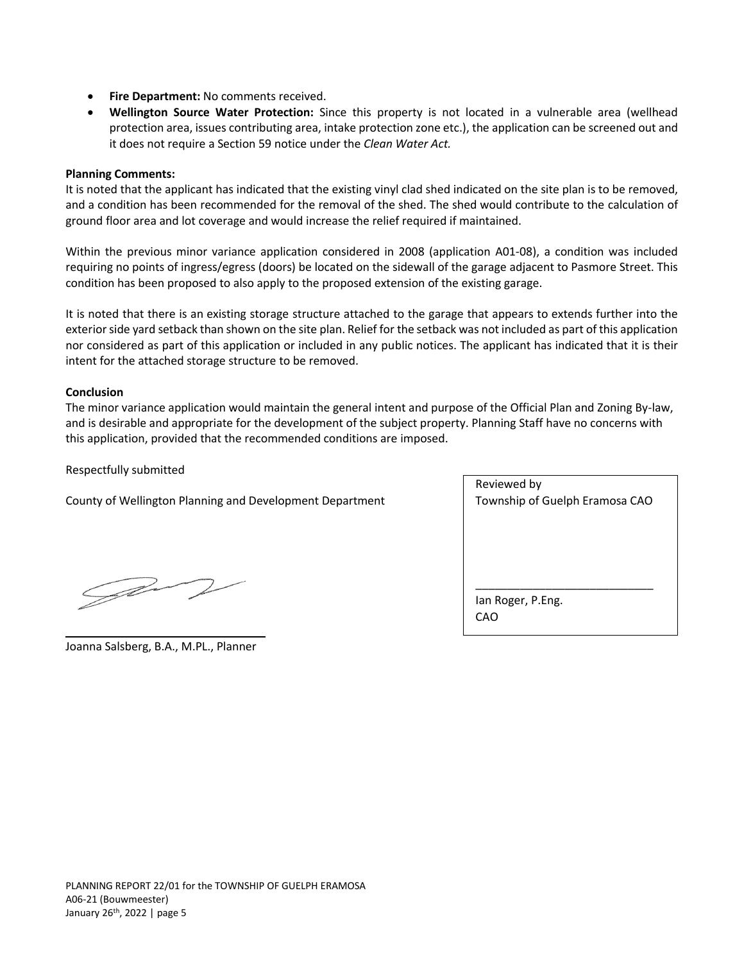- **Fire Department:** No comments received.
- **Wellington Source Water Protection:** Since this property is not located in a vulnerable area (wellhead protection area, issues contributing area, intake protection zone etc.), the application can be screened out and it does not require a Section 59 notice under the *Clean Water Act.*

#### **Planning Comments:**

It is noted that the applicant has indicated that the existing vinyl clad shed indicated on the site plan is to be removed, and a condition has been recommended for the removal of the shed. The shed would contribute to the calculation of ground floor area and lot coverage and would increase the relief required if maintained.

Within the previous minor variance application considered in 2008 (application A01-08), a condition was included requiring no points of ingress/egress (doors) be located on the sidewall of the garage adjacent to Pasmore Street. This condition has been proposed to also apply to the proposed extension of the existing garage.

It is noted that there is an existing storage structure attached to the garage that appears to extends further into the exterior side yard setback than shown on the site plan. Relief for the setback was not included as part of this application nor considered as part of this application or included in any public notices. The applicant has indicated that it is their intent for the attached storage structure to be removed.

#### **Conclusion**

The minor variance application would maintain the general intent and purpose of the Official Plan and Zoning By-law, and is desirable and appropriate for the development of the subject property. Planning Staff have no concerns with this application, provided that the recommended conditions are imposed.

Respectfully submitted

County of Wellington Planning and Development Department

| Reviewed by                    |
|--------------------------------|
| Township of Guelph Eramosa CAO |
|                                |
|                                |
|                                |
|                                |
|                                |
| lan Roger, P.Eng.              |
| CAO                            |
|                                |

Jav

\_\_\_\_\_\_\_\_\_\_\_\_\_\_\_\_\_\_\_\_\_\_\_\_\_\_\_\_\_\_ Joanna Salsberg, B.A., M.PL., Planner